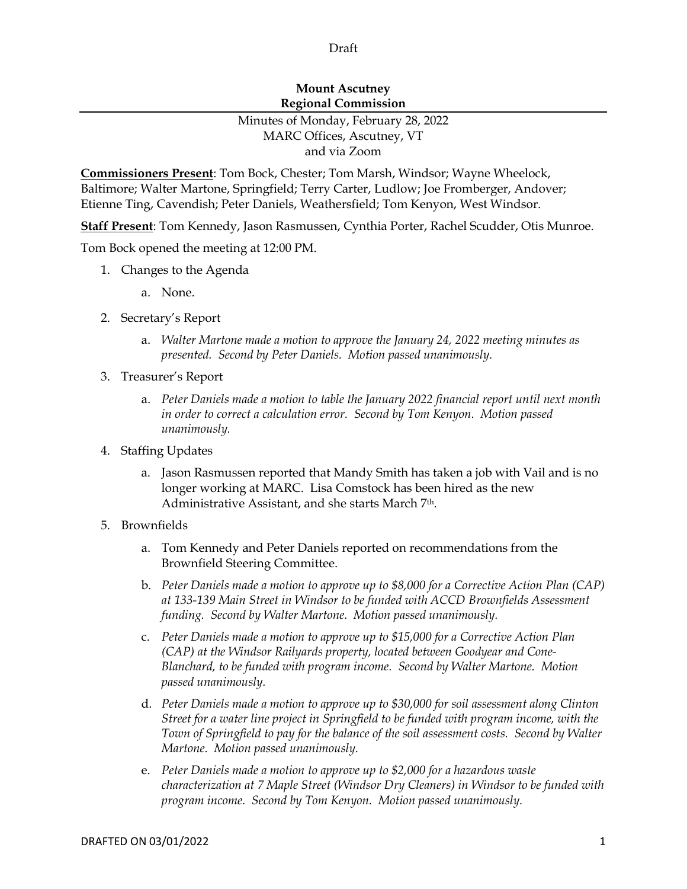## Draft

## **Mount Ascutney Regional Commission**

## Minutes of Monday, February 28, 2022 MARC Offices, Ascutney, VT and via Zoom

**Commissioners Present**: Tom Bock, Chester; Tom Marsh, Windsor; Wayne Wheelock, Baltimore; Walter Martone, Springfield; Terry Carter, Ludlow; Joe Fromberger, Andover; Etienne Ting, Cavendish; Peter Daniels, Weathersfield; Tom Kenyon, West Windsor.

**Staff Present**: Tom Kennedy, Jason Rasmussen, Cynthia Porter, Rachel Scudder, Otis Munroe.

Tom Bock opened the meeting at 12:00 PM.

- 1. Changes to the Agenda
	- a. None.
- 2. Secretary's Report
	- a. *Walter Martone made a motion to approve the January 24, 2022 meeting minutes as presented. Second by Peter Daniels. Motion passed unanimously.*
- 3. Treasurer's Report
	- a. *Peter Daniels made a motion to table the January 2022 financial report until next month in order to correct a calculation error. Second by Tom Kenyon. Motion passed unanimously.*
- 4. Staffing Updates
	- a. Jason Rasmussen reported that Mandy Smith has taken a job with Vail and is no longer working at MARC. Lisa Comstock has been hired as the new Administrative Assistant, and she starts March 7th.
- 5. Brownfields
	- a. Tom Kennedy and Peter Daniels reported on recommendations from the Brownfield Steering Committee.
	- b. *Peter Daniels made a motion to approve up to \$8,000 for a Corrective Action Plan (CAP) at 133-139 Main Street in Windsor to be funded with ACCD Brownfields Assessment funding. Second by Walter Martone. Motion passed unanimously.*
	- c. *Peter Daniels made a motion to approve up to \$15,000 for a Corrective Action Plan (CAP) at the Windsor Railyards property, located between Goodyear and Cone-Blanchard, to be funded with program income. Second by Walter Martone. Motion passed unanimously.*
	- d. *Peter Daniels made a motion to approve up to \$30,000 for soil assessment along Clinton Street for a water line project in Springfield to be funded with program income, with the Town of Springfield to pay for the balance of the soil assessment costs. Second by Walter Martone. Motion passed unanimously.*
	- e. *Peter Daniels made a motion to approve up to \$2,000 for a hazardous waste characterization at 7 Maple Street (Windsor Dry Cleaners) in Windsor to be funded with program income. Second by Tom Kenyon. Motion passed unanimously.*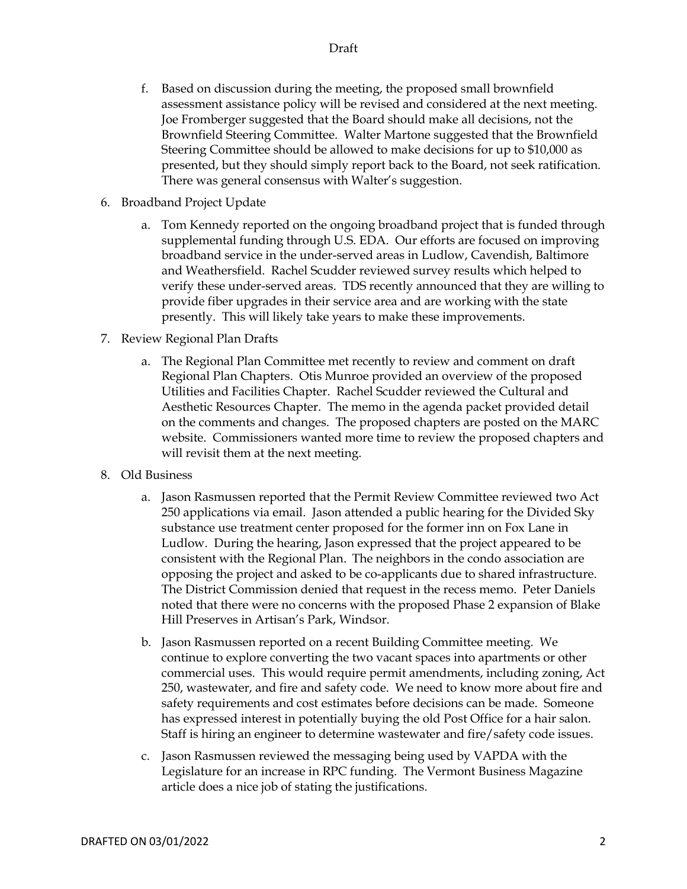- f. Based on discussion during the meeting, the proposed small brownfield assessment assistance policy will be revised and considered at the next meeting. Joe Fromberger suggested that the Board should make all decisions, not the Brownfield Steering Committee. Walter Martone suggested that the Brownfield Steering Committee should be allowed to make decisions for up to \$10,000 as presented, but they should simply report back to the Board, not seek ratification. There was general consensus with Walter's suggestion.
- 6. Broadband Project Update
	- a. Tom Kennedy reported on the ongoing broadband project that is funded through supplemental funding through U.S. EDA. Our efforts are focused on improving broadband service in the under-served areas in Ludlow, Cavendish, Baltimore and Weathersfield. Rachel Scudder reviewed survey results which helped to verify these under-served areas. TDS recently announced that they are willing to provide fiber upgrades in their service area and are working with the state presently. This will likely take years to make these improvements.
- 7. Review Regional Plan Drafts
	- a. The Regional Plan Committee met recently to review and comment on draft Regional Plan Chapters. Otis Munroe provided an overview of the proposed Utilities and Facilities Chapter. Rachel Scudder reviewed the Cultural and Aesthetic Resources Chapter. The memo in the agenda packet provided detail on the comments and changes. The proposed chapters are posted on the MARC website. Commissioners wanted more time to review the proposed chapters and will revisit them at the next meeting.
- 8. Old Business
	- a. Jason Rasmussen reported that the Permit Review Committee reviewed two Act 250 applications via email. Jason attended a public hearing for the Divided Sky substance use treatment center proposed for the former inn on Fox Lane in Ludlow. During the hearing, Jason expressed that the project appeared to be consistent with the Regional Plan. The neighbors in the condo association are opposing the project and asked to be co-applicants due to shared infrastructure. The District Commission denied that request in the recess memo. Peter Daniels noted that there were no concerns with the proposed Phase 2 expansion of Blake Hill Preserves in Artisan's Park, Windsor.
	- b. Jason Rasmussen reported on a recent Building Committee meeting. We continue to explore converting the two vacant spaces into apartments or other commercial uses. This would require permit amendments, including zoning, Act 250, wastewater, and fire and safety code. We need to know more about fire and safety requirements and cost estimates before decisions can be made. Someone has expressed interest in potentially buying the old Post Office for a hair salon. Staff is hiring an engineer to determine wastewater and fire/safety code issues.
	- c. Jason Rasmussen reviewed the messaging being used by VAPDA with the Legislature for an increase in RPC funding. The Vermont Business Magazine article does a nice job of stating the justifications.